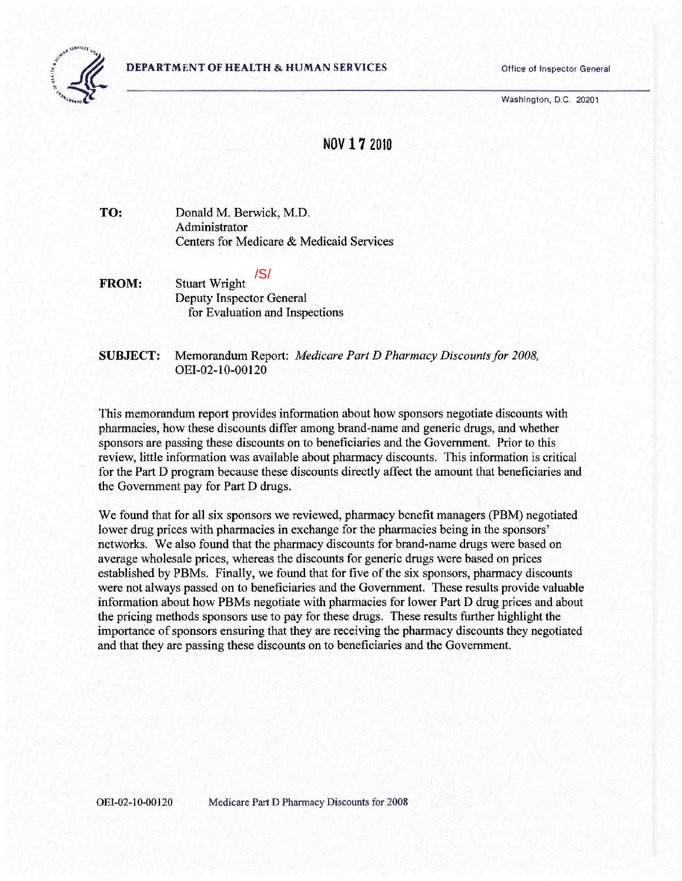#### **DEPARTMENT OF HEALTH & HUMAN SERVICES** Office of Inspector General



Washington, D.C. 20201

## **NOV 172010**

**TO:**  Donald M. Berwick, M.D. Administrator Centers for Medicare & Medicaid Services

- **FROM:** Stuart Wright Deputy Inspector General for Evaluation and Inspections /S/
- **SUBJECT:**  Memorandum Report: *Medicare Part D Pharmacy Discounts for 2008,*  OEI-02-10-00120

This memorandum report provides information about how sponsors negotiate discounts with pharmacies, how these discounts differ among brand-name and generic drugs, and whether sponsors are passing these discounts on to beneficiaries and the Government. Prior to this review, little information was available about pharmacy discounts. This information is critical for the Part D program because these discounts directly affect the amount that beneficiaries and the Government pay for Part D drugs.

We found that for all six sponsors we reviewed, pharmacy benefit managers (PBM) negotiated lower drug prices with pharmacies in exchange for the pharmacies being in the sponsors' networks. We also found that the pharmacy discounts for brand-name drugs were based on average wholesale prices, whereas the discounts for generic drugs were based on prices established by PBMs. Finally, we found that for five of the six sponsors, pharmacy discounts were not always passed on to beneficiaries and the Government. These results provide valuable information about how PBMs negotiate with pharmacies for lower Part D drug prices and about the pricing methods sponsors use to pay for these drugs. These results further highlight the importance of sponsors ensuring that they are receiving the pharmacy discounts they negotiated and that they are passing these discounts on to beneficiaries and the Government.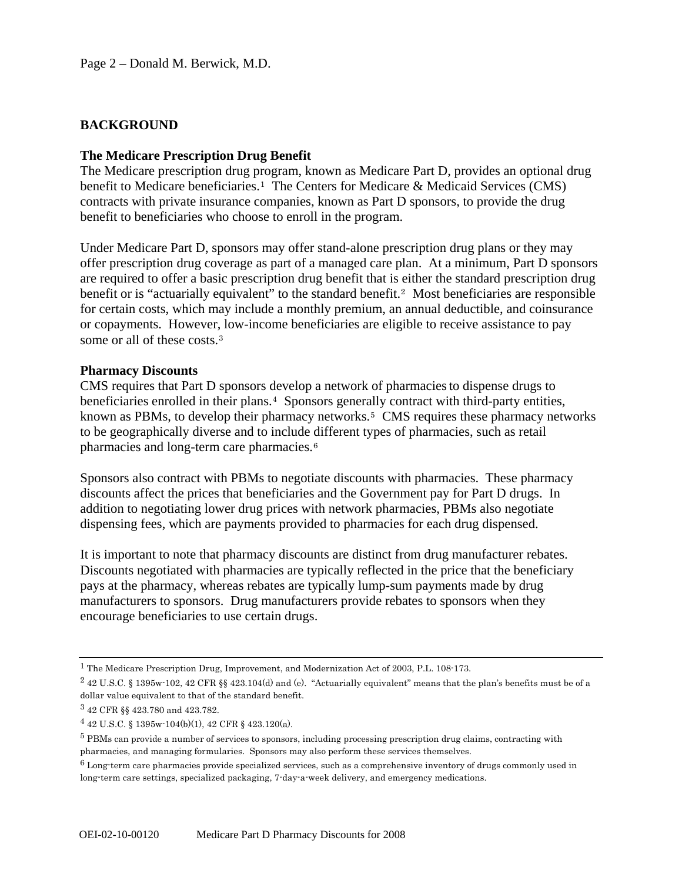## **BACKGROUND**

#### **The Medicare Prescription Drug Benefit**

The Medicare prescription drug program, known as Medicare Part D, provides an optional drug benefit to Medicare beneficiaries.<sup>[1](#page-1-0)</sup> The Centers for Medicare & Medicaid Services (CMS) contracts with private insurance companies, known as Part D sponsors, to provide the drug benefit to beneficiaries who choose to enroll in the program.

Under Medicare Part D, sponsors may offer stand-alone prescription drug plans or they may offer prescription drug coverage as part of a managed care plan. At a minimum, Part D sponsors are required to offer a basic prescription drug benefit that is either the standard prescription drug benefit or is "actuarially equivalent" to the standard benefit.[2](#page-1-1) Most beneficiaries are responsible for certain costs, which may include a monthly premium, an annual deductible, and coinsurance or copayments. However, low-income beneficiaries are eligible to receive assistance to pay some or all of these costs.[3](#page-1-2)

#### **Pharmacy Discounts**

CMS requires that Part D sponsors develop a network of pharmaciesto dispense drugs to beneficiaries enrolled in their plans.<sup>[4](#page-1-3)</sup> Sponsors generally contract with third-party entities, known as PBMs, to develop their pharmacy networks.<sup>[5](#page-1-4)</sup> CMS requires these pharmacy networks to be geographically diverse and to include different types of pharmacies, such as retail pharmacies and long-term care pharmacies.[6](#page-1-5)

Sponsors also contract with PBMs to negotiate discounts with pharmacies. These pharmacy discounts affect the prices that beneficiaries and the Government pay for Part D drugs. In addition to negotiating lower drug prices with network pharmacies, PBMs also negotiate dispensing fees, which are payments provided to pharmacies for each drug dispensed.

It is important to note that pharmacy discounts are distinct from drug manufacturer rebates. Discounts negotiated with pharmacies are typically reflected in the price that the beneficiary pays at the pharmacy, whereas rebates are typically lump-sum payments made by drug manufacturers to sponsors. Drug manufacturers provide rebates to sponsors when they encourage beneficiaries to use certain drugs.

<span id="page-1-0"></span><sup>1</sup> The Medicare Prescription Drug, Improvement, and Modernization Act of 2003, P.L. 108-173.

<span id="page-1-1"></span> $2$  42 U.S.C. § 1395w-102, 42 CFR §§ 423.104(d) and (e). "Actuarially equivalent" means that the plan's benefits must be of a dollar value equivalent to that of the standard benefit.

<span id="page-1-2"></span><sup>3 42</sup> CFR §§ 423.780 and 423.782.

<span id="page-1-3"></span><sup>4 42</sup> U.S.C. § 1395w-104(b)(1), 42 CFR § 423.120(a).

<span id="page-1-4"></span><sup>5</sup> PBMs can provide a number of services to sponsors, including processing prescription drug claims, contracting with pharmacies, and managing formularies. Sponsors may also perform these services themselves.

<span id="page-1-5"></span><sup>6</sup> Long-term care pharmacies provide specialized services, such as a comprehensive inventory of drugs commonly used in long-term care settings, specialized packaging, 7-day-a-week delivery, and emergency medications.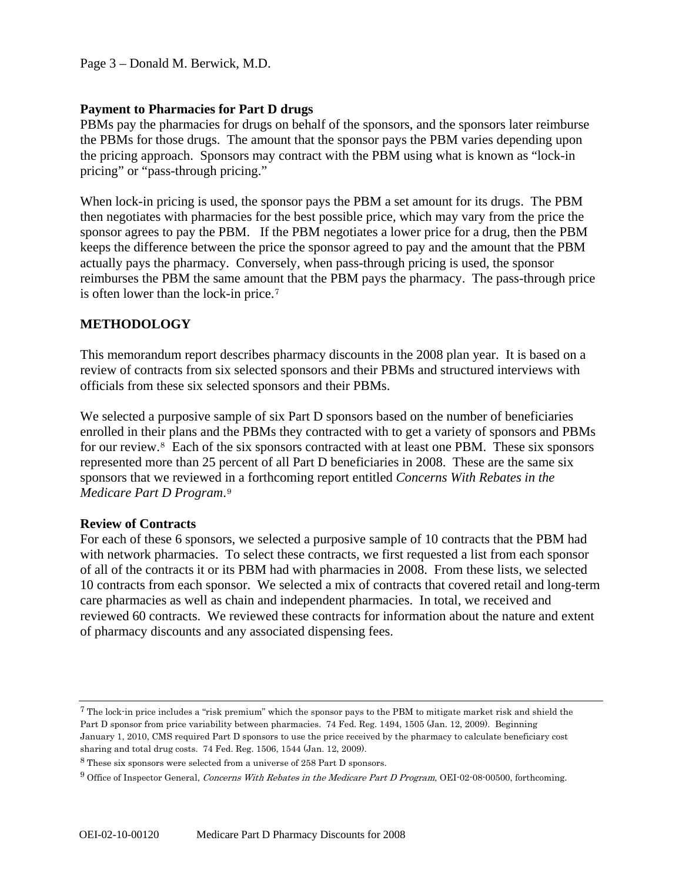Page 3 – Donald M. Berwick, M.D.

## **Payment to Pharmacies for Part D drugs**

PBMs pay the pharmacies for drugs on behalf of the sponsors, and the sponsors later reimburse the PBMs for those drugs. The amount that the sponsor pays the PBM varies depending upon the pricing approach. Sponsors may contract with the PBM using what is known as "lock-in pricing" or "pass-through pricing."

When lock-in pricing is used, the sponsor pays the PBM a set amount for its drugs. The PBM then negotiates with pharmacies for the best possible price, which may vary from the price the sponsor agrees to pay the PBM. If the PBM negotiates a lower price for a drug, then the PBM keeps the difference between the price the sponsor agreed to pay and the amount that the PBM actually pays the pharmacy. Conversely, when pass-through pricing is used, the sponsor reimburses the PBM the same amount that the PBM pays the pharmacy. The pass-through price is often lower than the lock-in price.[7](#page-2-0)

# **METHODOLOGY**

This memorandum report describes pharmacy discounts in the 2008 plan year. It is based on a review of contracts from six selected sponsors and their PBMs and structured interviews with officials from these six selected sponsors and their PBMs.

We selected a purposive sample of six Part D sponsors based on the number of beneficiaries enrolled in their plans and the PBMs they contracted with to get a variety of sponsors and PBMs for our review.<sup>[8](#page-2-1)</sup> Each of the six sponsors contracted with at least one PBM. These six sponsors represented more than 25 percent of all Part D beneficiaries in 2008. These are the same six sponsors that we reviewed in a forthcoming report entitled *Concerns With Rebates in the Medicare Part D Program*.[9](#page-2-2)

## **Review of Contracts**

For each of these 6 sponsors, we selected a purposive sample of 10 contracts that the PBM had with network pharmacies. To select these contracts, we first requested a list from each sponsor of all of the contracts it or its PBM had with pharmacies in 2008. From these lists, we selected 10 contracts from each sponsor. We selected a mix of contracts that covered retail and long-term care pharmacies as well as chain and independent pharmacies. In total, we received and reviewed 60 contracts. We reviewed these contracts for information about the nature and extent of pharmacy discounts and any associated dispensing fees.

<span id="page-2-0"></span><sup>7</sup> The lock-in price includes a "risk premium" which the sponsor pays to the PBM to mitigate market risk and shield the Part D sponsor from price variability between pharmacies. 74 Fed. Reg. 1494, 1505 (Jan. 12, 2009). Beginning January 1, 2010, CMS required Part D sponsors to use the price received by the pharmacy to calculate beneficiary cost sharing and total drug costs. 74 Fed. Reg. 1506, 1544 (Jan. 12, 2009).

<span id="page-2-1"></span> $^8$  These six sponsors were selected from a universe of 258 Part D sponsors.

<span id="page-2-2"></span><sup>9</sup> Office of Inspector General, Concerns With Rebates in the Medicare Part D Program, OEI-02-08-00500, forthcoming.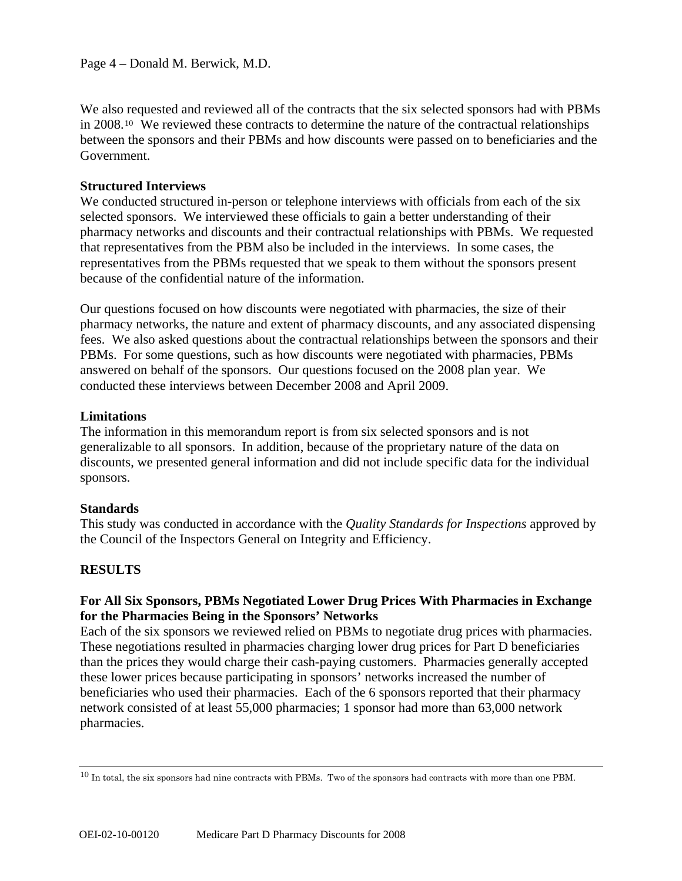We also requested and reviewed all of the contracts that the six selected sponsors had with PBMs in 2008.[10](#page-3-0) We reviewed these contracts to determine the nature of the contractual relationships between the sponsors and their PBMs and how discounts were passed on to beneficiaries and the Government.

#### **Structured Interviews**

We conducted structured in-person or telephone interviews with officials from each of the six selected sponsors. We interviewed these officials to gain a better understanding of their pharmacy networks and discounts and their contractual relationships with PBMs. We requested that representatives from the PBM also be included in the interviews. In some cases, the representatives from the PBMs requested that we speak to them without the sponsors present because of the confidential nature of the information.

Our questions focused on how discounts were negotiated with pharmacies, the size of their pharmacy networks, the nature and extent of pharmacy discounts, and any associated dispensing fees. We also asked questions about the contractual relationships between the sponsors and their PBMs. For some questions, such as how discounts were negotiated with pharmacies, PBMs answered on behalf of the sponsors. Our questions focused on the 2008 plan year. We conducted these interviews between December 2008 and April 2009.

## **Limitations**

The information in this memorandum report is from six selected sponsors and is not generalizable to all sponsors. In addition, because of the proprietary nature of the data on discounts, we presented general information and did not include specific data for the individual sponsors.

## **Standards**

This study was conducted in accordance with the *Quality Standards for Inspections* approved by the Council of the Inspectors General on Integrity and Efficiency.

## **RESULTS**

## **For All Six Sponsors, PBMs Negotiated Lower Drug Prices With Pharmacies in Exchange for the Pharmacies Being in the Sponsors' Networks**

Each of the six sponsors we reviewed relied on PBMs to negotiate drug prices with pharmacies. These negotiations resulted in pharmacies charging lower drug prices for Part D beneficiaries than the prices they would charge their cash-paying customers. Pharmacies generally accepted these lower prices because participating in sponsors' networks increased the number of beneficiaries who used their pharmacies. Each of the 6 sponsors reported that their pharmacy network consisted of at least 55,000 pharmacies; 1 sponsor had more than 63,000 network pharmacies.

<span id="page-3-0"></span> $10$  In total, the six sponsors had nine contracts with PBMs. Two of the sponsors had contracts with more than one PBM.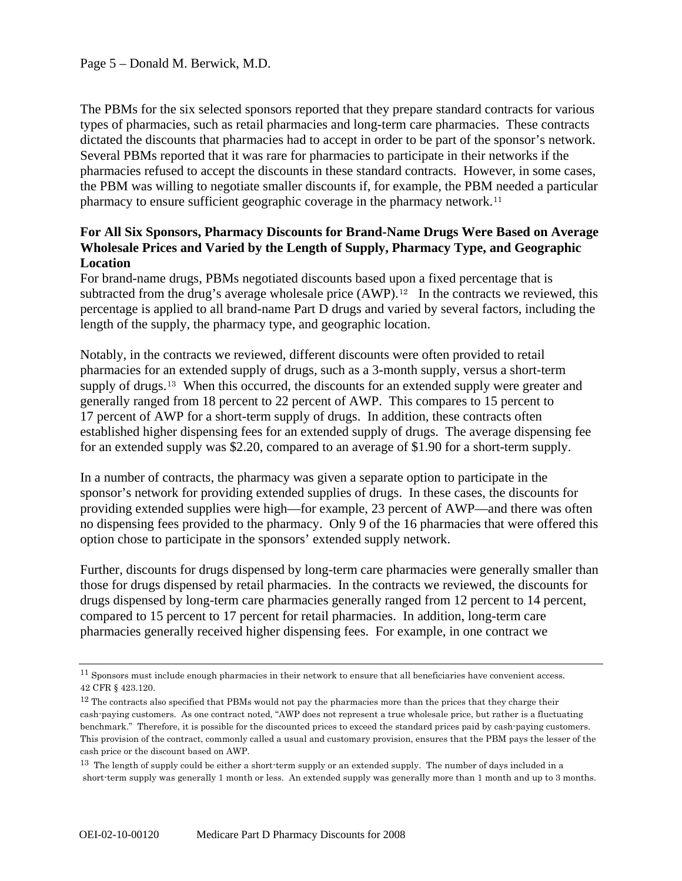The PBMs for the six selected sponsors reported that they prepare standard contracts for various types of pharmacies, such as retail pharmacies and long-term care pharmacies. These contracts dictated the discounts that pharmacies had to accept in order to be part of the sponsor's network. Several PBMs reported that it was rare for pharmacies to participate in their networks if the pharmacies refused to accept the discounts in these standard contracts. However, in some cases, the PBM was willing to negotiate smaller discounts if, for example, the PBM needed a particular pharmacy to ensure sufficient geographic coverage in the pharmacy network.<sup>[11](#page-4-0)</sup>

# **For All Six Sponsors, Pharmacy Discounts for Brand-Name Drugs Were Based on Average Wholesale Prices and Varied by the Length of Supply, Pharmacy Type, and Geographic Location**

For brand-name drugs, PBMs negotiated discounts based upon a fixed percentage that is subtracted from the drug's average wholesale price  $(AWP).<sup>12</sup>$  $(AWP).<sup>12</sup>$  $(AWP).<sup>12</sup>$  In the contracts we reviewed, this percentage is applied to all brand-name Part D drugs and varied by several factors, including the length of the supply, the pharmacy type, and geographic location.

Notably, in the contracts we reviewed, different discounts were often provided to retail pharmacies for an extended supply of drugs, such as a 3-month supply, versus a short-term supply of drugs.<sup>[13](#page-4-2)</sup> When this occurred, the discounts for an extended supply were greater and generally ranged from 18 percent to 22 percent of AWP. This compares to 15 percent to 17 percent of AWP for a short-term supply of drugs. In addition, these contracts often established higher dispensing fees for an extended supply of drugs. The average dispensing fee for an extended supply was \$2.20, compared to an average of \$1.90 for a short-term supply.

In a number of contracts, the pharmacy was given a separate option to participate in the sponsor's network for providing extended supplies of drugs. In these cases, the discounts for providing extended supplies were high—for example, 23 percent of AWP—and there was often no dispensing fees provided to the pharmacy. Only 9 of the 16 pharmacies that were offered this option chose to participate in the sponsors' extended supply network.

Further, discounts for drugs dispensed by long-term care pharmacies were generally smaller than those for drugs dispensed by retail pharmacies. In the contracts we reviewed, the discounts for drugs dispensed by long-term care pharmacies generally ranged from 12 percent to 14 percent, compared to 15 percent to 17 percent for retail pharmacies. In addition, long-term care pharmacies generally received higher dispensing fees. For example, in one contract we

<span id="page-4-0"></span><sup>11</sup> Sponsors must include enough pharmacies in their network to ensure that all beneficiaries have convenient access. 42 CFR § 423.120.

<span id="page-4-1"></span><sup>&</sup>lt;sup>12</sup> The contracts also specified that PBMs would not pay the pharmacies more than the prices that they charge their cash-paying customers. As one contract noted, "AWP does not represent a true wholesale price, but rather is a fluctuating benchmark." Therefore, it is possible for the discounted prices to exceed the standard prices paid by cash-paying customers. This provision of the contract, commonly called a usual and customary provision, ensures that the PBM pays the lesser of the cash price or the discount based on AWP.

<span id="page-4-2"></span> $13$  The length of supply could be either a short-term supply or an extended supply. The number of days included in a short-term supply was generally 1 month or less. An extended supply was generally more than 1 month and up to 3 months.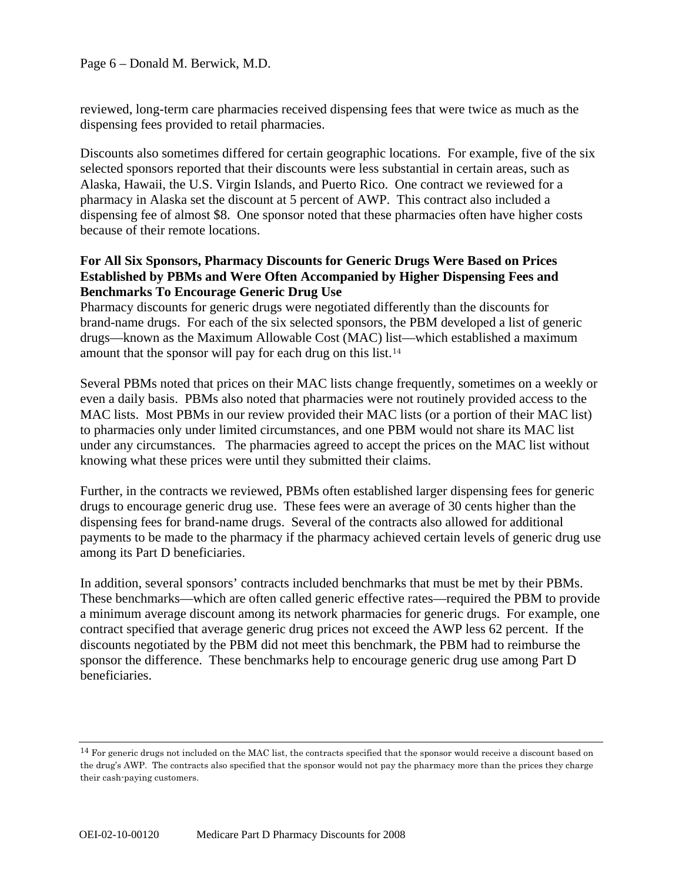reviewed, long-term care pharmacies received dispensing fees that were twice as much as the dispensing fees provided to retail pharmacies.

Discounts also sometimes differed for certain geographic locations. For example, five of the six selected sponsors reported that their discounts were less substantial in certain areas, such as Alaska, Hawaii, the U.S. Virgin Islands, and Puerto Rico. One contract we reviewed for a pharmacy in Alaska set the discount at 5 percent of AWP. This contract also included a dispensing fee of almost \$8. One sponsor noted that these pharmacies often have higher costs because of their remote locations.

## **For All Six Sponsors, Pharmacy Discounts for Generic Drugs Were Based on Prices Established by PBMs and Were Often Accompanied by Higher Dispensing Fees and Benchmarks To Encourage Generic Drug Use**

Pharmacy discounts for generic drugs were negotiated differently than the discounts for brand-name drugs. For each of the six selected sponsors, the PBM developed a list of generic drugs—known as the Maximum Allowable Cost (MAC) list—which established a maximum amount that the sponsor will pay for each drug on this list.[14](#page-5-0)

Several PBMs noted that prices on their MAC lists change frequently, sometimes on a weekly or even a daily basis. PBMs also noted that pharmacies were not routinely provided access to the MAC lists. Most PBMs in our review provided their MAC lists (or a portion of their MAC list) to pharmacies only under limited circumstances, and one PBM would not share its MAC list under any circumstances. The pharmacies agreed to accept the prices on the MAC list without knowing what these prices were until they submitted their claims.

Further, in the contracts we reviewed, PBMs often established larger dispensing fees for generic drugs to encourage generic drug use. These fees were an average of 30 cents higher than the dispensing fees for brand-name drugs. Several of the contracts also allowed for additional payments to be made to the pharmacy if the pharmacy achieved certain levels of generic drug use among its Part D beneficiaries.

In addition, several sponsors' contracts included benchmarks that must be met by their PBMs. These benchmarks—which are often called generic effective rates—required the PBM to provide a minimum average discount among its network pharmacies for generic drugs. For example, one contract specified that average generic drug prices not exceed the AWP less 62 percent. If the discounts negotiated by the PBM did not meet this benchmark, the PBM had to reimburse the sponsor the difference. These benchmarks help to encourage generic drug use among Part D beneficiaries.

<span id="page-5-0"></span><sup>&</sup>lt;sup>14</sup> For generic drugs not included on the MAC list, the contracts specified that the sponsor would receive a discount based on the drug's AWP. The contracts also specified that the sponsor would not pay the pharmacy more than the prices they charge their cash-paying customers.